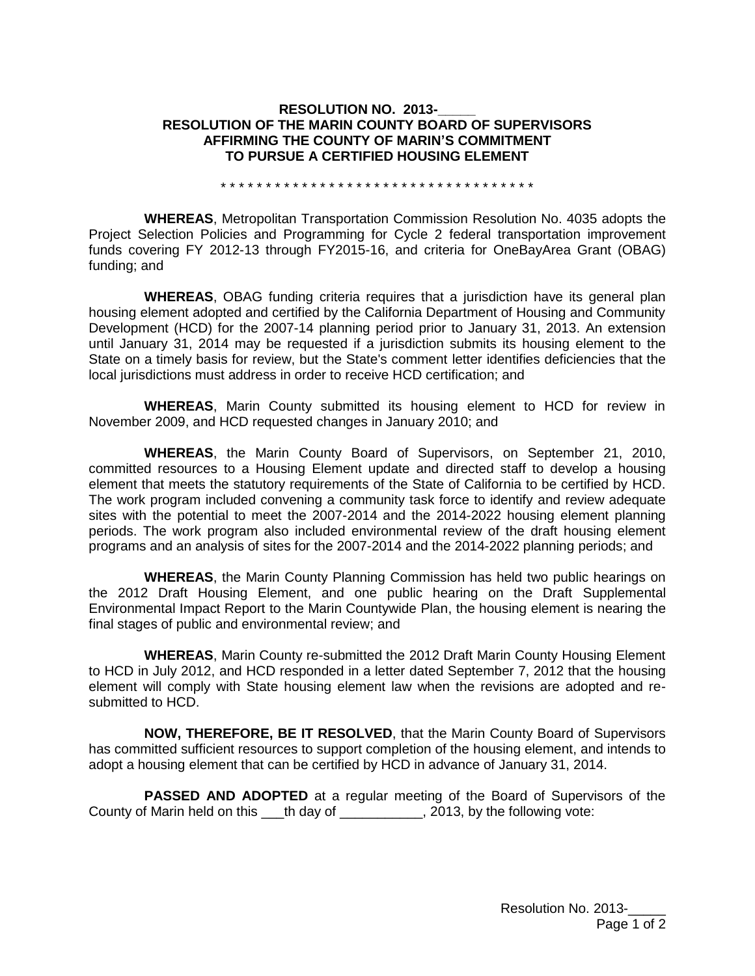## **RESOLUTION NO. 2013-RESOLUTION OF THE MARIN COUNTY BOARD OF SUPERVISORS AFFIRMING THE COUNTY OF MARIN'S COMMITMENT TO PURSUE A CERTIFIED HOUSING ELEMENT**

\* \* \* \* \* \* \* \* \* \* \* \* \* \* \* \* \* \* \* \* \* \* \* \* \* \* \* \* \* \* \* \* \* \* \*

**WHEREAS**, Metropolitan Transportation Commission Resolution No. 4035 adopts the Project Selection Policies and Programming for Cycle 2 federal transportation improvement funds covering FY 2012-13 through FY2015-16, and criteria for OneBayArea Grant (OBAG) funding; and

**WHEREAS**, OBAG funding criteria requires that a jurisdiction have its general plan housing element adopted and certified by the California Department of Housing and Community Development (HCD) for the 2007-14 planning period prior to January 31, 2013. An extension until January 31, 2014 may be requested if a jurisdiction submits its housing element to the State on a timely basis for review, but the State's comment letter identifies deficiencies that the local jurisdictions must address in order to receive HCD certification; and

**WHEREAS**, Marin County submitted its housing element to HCD for review in November 2009, and HCD requested changes in January 2010; and

**WHEREAS**, the Marin County Board of Supervisors, on September 21, 2010, committed resources to a Housing Element update and directed staff to develop a housing element that meets the statutory requirements of the State of California to be certified by HCD. The work program included convening a community task force to identify and review adequate sites with the potential to meet the 2007-2014 and the 2014-2022 housing element planning periods. The work program also included environmental review of the draft housing element programs and an analysis of sites for the 2007-2014 and the 2014-2022 planning periods; and

**WHEREAS**, the Marin County Planning Commission has held two public hearings on the 2012 Draft Housing Element, and one public hearing on the Draft Supplemental Environmental Impact Report to the Marin Countywide Plan, the housing element is nearing the final stages of public and environmental review; and

**WHEREAS**, Marin County re-submitted the 2012 Draft Marin County Housing Element to HCD in July 2012, and HCD responded in a letter dated September 7, 2012 that the housing element will comply with State housing element law when the revisions are adopted and resubmitted to HCD.

**NOW, THEREFORE, BE IT RESOLVED**, that the Marin County Board of Supervisors has committed sufficient resources to support completion of the housing element, and intends to adopt a housing element that can be certified by HCD in advance of January 31, 2014.

**PASSED AND ADOPTED** at a regular meeting of the Board of Supervisors of the County of Marin held on this \_\_\_th day of \_\_\_\_\_\_\_\_\_\_\_, 2013, by the following vote: